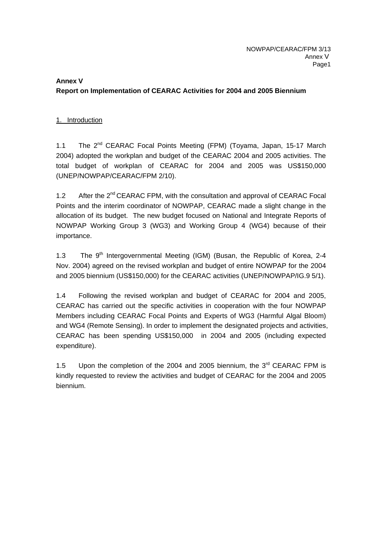# **Annex V Report on Implementation of CEARAC Activities for 2004 and 2005 Biennium**

# 1. Introduction

1.1 The 2<sup>nd</sup> CEARAC Focal Points Meeting (FPM) (Tovama, Japan, 15-17 March 2004) adopted the workplan and budget of the CEARAC 2004 and 2005 activities. The total budget of workplan of CEARAC for 2004 and 2005 was US\$150,000 (UNEP/NOWPAP/CEARAC/FPM 2/10).

1.2 After the  $2^{nd}$  CEARAC FPM, with the consultation and approval of CEARAC Focal Points and the interim coordinator of NOWPAP, CEARAC made a slight change in the allocation of its budget. The new budget focused on National and Integrate Reports of NOWPAP Working Group 3 (WG3) and Working Group 4 (WG4) because of their importance.

1.3 The  $9<sup>th</sup>$  Intergovernmental Meeting (IGM) (Busan, the Republic of Korea, 2-4 Nov. 2004) agreed on the revised workplan and budget of entire NOWPAP for the 2004 and 2005 biennium (US\$150,000) for the CEARAC activities (UNEP/NOWPAP/IG.9 5/1).

1.4 Following the revised workplan and budget of CEARAC for 2004 and 2005, CEARAC has carried out the specific activities in cooperation with the four NOWPAP Members including CEARAC Focal Points and Experts of WG3 (Harmful Algal Bloom) and WG4 (Remote Sensing). In order to implement the designated projects and activities, CEARAC has been spending US\$150,000 in 2004 and 2005 (including expected expenditure).

1.5 Upon the completion of the 2004 and 2005 biennium, the  $3<sup>rd</sup>$  CEARAC FPM is kindly requested to review the activities and budget of CEARAC for the 2004 and 2005 biennium.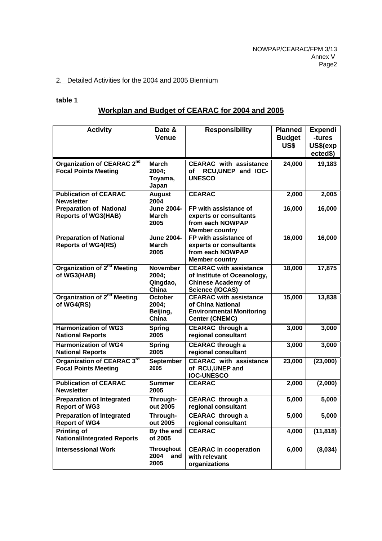#### 2. Detailed Activities for the 2004 and 2005 Biennium

#### **table 1**

# **Workplan and Budget of CEARAC for 2004 and 2005**

| <b>Activity</b>                                                       | Date &<br><b>Venue</b>                        | <b>Responsibility</b>                                                                                               | <b>Planned</b><br><b>Budget</b><br>US\$ | <b>Expendi</b><br>-tures<br>US\$(exp<br>ected\$) |
|-----------------------------------------------------------------------|-----------------------------------------------|---------------------------------------------------------------------------------------------------------------------|-----------------------------------------|--------------------------------------------------|
| Organization of CEARAC 2 <sup>nd</sup><br><b>Focal Points Meeting</b> | <b>March</b><br>2004:<br>Toyama,<br>Japan     | <b>CEARAC</b> with assistance<br>RCU, UNEP and IOC-<br>οf<br><b>UNESCO</b>                                          | 24,000                                  | 19,183                                           |
| <b>Publication of CEARAC</b><br><b>Newsletter</b>                     | <b>August</b><br>2004                         | <b>CEARAC</b>                                                                                                       | 2,000                                   | 2,005                                            |
| <b>Preparation of National</b><br><b>Reports of WG3(HAB)</b>          | <b>June 2004-</b><br>March<br>2005            | FP with assistance of<br>experts or consultants<br>from each NOWPAP<br><b>Member country</b>                        | 16,000                                  | 16,000                                           |
| <b>Preparation of National</b><br><b>Reports of WG4(RS)</b>           | <b>June 2004-</b><br><b>March</b><br>2005     | FP with assistance of<br>experts or consultants<br>from each NOWPAP<br><b>Member country</b>                        | 16,000                                  | 16,000                                           |
| Organization of 2 <sup>nd</sup> Meeting<br>of WG3(HAB)                | <b>November</b><br>2004;<br>Qingdao,<br>China | <b>CEARAC with assistance</b><br>of Institute of Oceanology,<br><b>Chinese Academy of</b><br><b>Science (IOCAS)</b> | 18,000                                  | 17,875                                           |
| Organization of 2 <sup>nd</sup> Meeting<br>of WG4(RS)                 | October<br>2004;<br>Beijing,<br>China         | <b>CEARAC with assistance</b><br>of China National<br><b>Environmental Monitoring</b><br><b>Center (CNEMC)</b>      | 15,000                                  | 13,838                                           |
| <b>Harmonization of WG3</b><br><b>National Reports</b>                | <b>Spring</b><br>2005                         | <b>CEARAC</b> through a<br>regional consultant                                                                      | 3,000                                   | 3,000                                            |
| <b>Harmonization of WG4</b><br><b>National Reports</b>                | <b>Spring</b><br>2005                         | <b>CEARAC through a</b><br>regional consultant                                                                      | 3,000                                   | 3,000                                            |
| Organization of CEARAC 3rd<br><b>Focal Points Meeting</b>             | <b>September</b><br>2005                      | <b>CEARAC</b> with assistance<br>of RCU, UNEP and<br><b>IOC-UNESCO</b>                                              | 23,000                                  | (23,000)                                         |
| <b>Publication of CEARAC</b><br><b>Newsletter</b>                     | <b>Summer</b><br>2005                         | <b>CEARAC</b>                                                                                                       | 2,000                                   | (2,000)                                          |
| <b>Preparation of Integrated</b><br><b>Report of WG3</b>              | Through-<br>out 2005                          | <b>CEARAC</b> through a<br>regional consultant                                                                      | 5,000                                   | 5,000                                            |
| <b>Preparation of Integrated</b><br><b>Report of WG4</b>              | Through-<br>out 2005                          | <b>CEARAC</b> through a<br>regional consultant                                                                      | 5,000                                   | 5,000                                            |
| Printing of<br><b>National/Integrated Reports</b>                     | By the end<br>of 2005                         | <b>CEARAC</b>                                                                                                       | 4,000                                   | (11, 818)                                        |
| <b>Intersessional Work</b>                                            | <b>Throughout</b><br>2004<br>and<br>2005      | <b>CEARAC</b> in cooperation<br>with relevant<br>organizations                                                      | 6,000                                   | (8,034)                                          |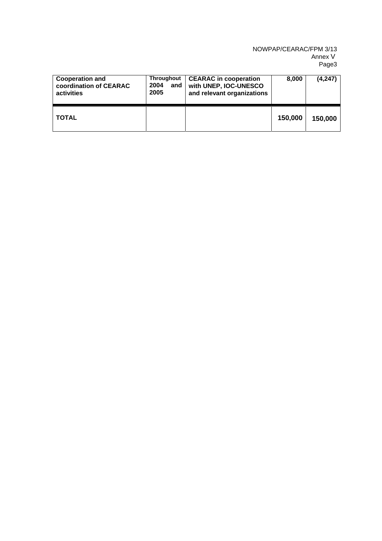#### NOWPAP/CEARAC/FPM 3/13 Annex V Page3

| <b>Cooperation and</b><br>coordination of CEARAC<br>activities | <b>Throughout</b><br>2004<br>and<br>2005 | <b>CEARAC</b> in cooperation<br>with UNEP, IOC-UNESCO<br>and relevant organizations | 8.000   | (4, 247) |
|----------------------------------------------------------------|------------------------------------------|-------------------------------------------------------------------------------------|---------|----------|
| <b>TOTAL</b>                                                   |                                          |                                                                                     | 150,000 | 150,000  |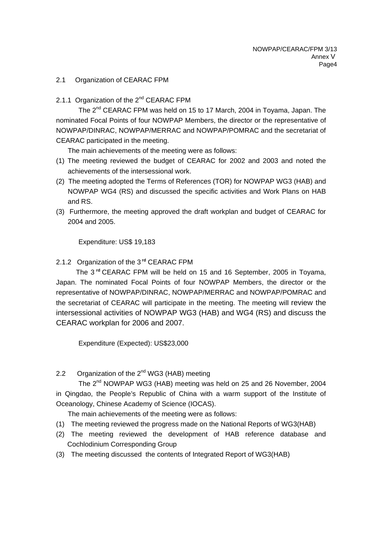#### 2.1 Organization of CEARAC FPM

#### 2.1.1 Organization of the 2<sup>nd</sup> CEARAC FPM

The 2<sup>nd</sup> CEARAC FPM was held on 15 to 17 March, 2004 in Toyama, Japan. The nominated Focal Points of four NOWPAP Members, the director or the representative of NOWPAP/DINRAC, NOWPAP/MERRAC and NOWPAP/POMRAC and the secretariat of CEARAC participated in the meeting.

The main achievements of the meeting were as follows:

- (1) The meeting reviewed the budget of CEARAC for 2002 and 2003 and noted the achievements of the intersessional work.
- (2) The meeting adopted the Terms of References (TOR) for NOWPAP WG3 (HAB) and NOWPAP WG4 (RS) and discussed the specific activities and Work Plans on HAB and RS.
- (3) Furthermore, the meeting approved the draft workplan and budget of CEARAC for 2004 and 2005.

Expenditure: US\$ 19,183

### 2.1.2 Organization of the 3 **rd** CEARAC FPM

The 3 **rd** CEARAC FPM will be held on 15 and 16 September, 2005 in Toyama, Japan. The nominated Focal Points of four NOWPAP Members, the director or the representative of NOWPAP/DINRAC, NOWPAP/MERRAC and NOWPAP/POMRAC and the secretariat of CEARAC will participate in the meeting. The meeting will review the intersessional activities of NOWPAP WG3 (HAB) and WG4 (RS) and discuss the CEARAC workplan for 2006 and 2007.

Expenditure (Expected): US\$23,000

# 2.2 Organization of the 2<sup>nd</sup> WG3 (HAB) meeting

The 2<sup>nd</sup> NOWPAP WG3 (HAB) meeting was held on 25 and 26 November, 2004 in Qingdao, the People's Republic of China with a warm support of the Institute of Oceanology, Chinese Academy of Science (IOCAS).

The main achievements of the meeting were as follows:

- (1) The meeting reviewed the progress made on the National Reports of WG3(HAB)
- (2) The meeting reviewed the development of HAB reference database and Cochlodinium Corresponding Group
- (3) The meeting discussed the contents of Integrated Report of WG3(HAB)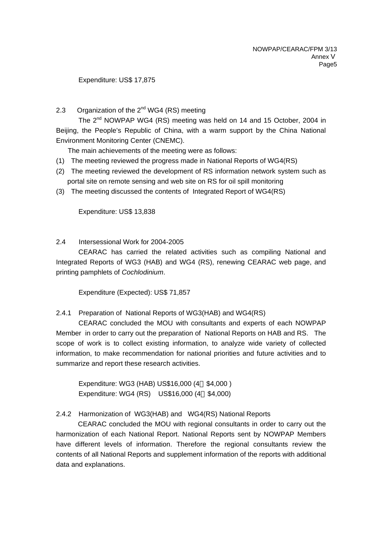#### Expenditure: US\$ 17,875

### 2.3 Organization of the  $2^{nd}$  WG4 (RS) meeting

The 2<sup>nd</sup> NOWPAP WG4 (RS) meeting was held on 14 and 15 October, 2004 in Beijing, the People's Republic of China, with a warm support by the China National Environment Monitoring Center (CNEMC).

The main achievements of the meeting were as follows:

- (1) The meeting reviewed the progress made in National Reports of WG4(RS)
- (2) The meeting reviewed the development of RS information network system such as portal site on remote sensing and web site on RS for oil spill monitoring
- (3) The meeting discussed the contents of Integrated Report of WG4(RS)

Expenditure: US\$ 13,838

2.4 Intersessional Work for 2004-2005

CEARAC has carried the related activities such as compiling National and Integrated Reports of WG3 (HAB) and WG4 (RS), renewing CEARAC web page, and printing pamphlets of *Cochlodinium*.

Expenditure (Expected): US\$ 71,857

#### 2.4.1 Preparation of National Reports of WG3(HAB) and WG4(RS)

CEARAC concluded the MOU with consultants and experts of each NOWPAP Member in order to carry out the preparation of National Reports on HAB and RS. The scope of work is to collect existing information, to analyze wide variety of collected information, to make recommendation for national priorities and future activities and to summarize and report these research activities.

Expenditure: WG3 (HAB) US\$16,000 (4 \$4,000 ) Expenditure: WG4 (RS) US\$16,000 (4 \$4,000)

# 2.4.2 Harmonization of WG3(HAB) and WG4(RS) National Reports

CEARAC concluded the MOU with regional consultants in order to carry out the harmonization of each National Report. National Reports sent by NOWPAP Members have different levels of information. Therefore the regional consultants review the contents of all National Reports and supplement information of the reports with additional data and explanations.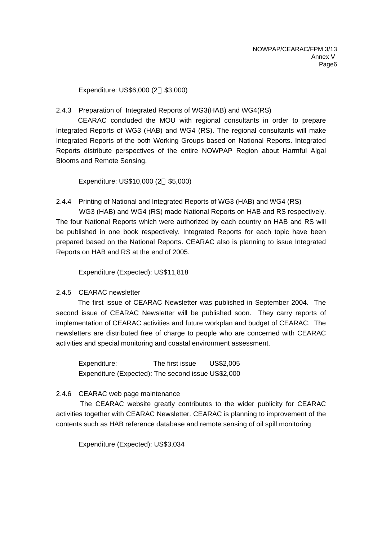Expenditure: US\$6,000 (2 \$3,000)

#### 2.4.3 Preparation of Integrated Reports of WG3(HAB) and WG4(RS)

CEARAC concluded the MOU with regional consultants in order to prepare Integrated Reports of WG3 (HAB) and WG4 (RS). The regional consultants will make Integrated Reports of the both Working Groups based on National Reports. Integrated Reports distribute perspectives of the entire NOWPAP Region about Harmful Algal Blooms and Remote Sensing.

Expenditure: US\$10,000 (2 \$5,000)

#### 2.4.4 Printing of National and Integrated Reports of WG3 (HAB) and WG4 (RS)

 WG3 (HAB) and WG4 (RS) made National Reports on HAB and RS respectively. The four National Reports which were authorized by each country on HAB and RS will be published in one book respectively. Integrated Reports for each topic have been prepared based on the National Reports. CEARAC also is planning to issue Integrated Reports on HAB and RS at the end of 2005.

Expenditure (Expected): US\$11,818

#### 2.4.5 CEARAC newsletter

The first issue of CEARAC Newsletter was published in September 2004. The second issue of CEARAC Newsletter will be published soon. They carry reports of implementation of CEARAC activities and future workplan and budget of CEARAC. The newsletters are distributed free of charge to people who are concerned with CEARAC activities and special monitoring and coastal environment assessment.

Expenditure: The first issue US\$2,005 Expenditure (Expected): The second issue US\$2,000

#### 2.4.6 CEARAC web page maintenance

The CEARAC website greatly contributes to the wider publicity for CEARAC activities together with CEARAC Newsletter. CEARAC is planning to improvement of the contents such as HAB reference database and remote sensing of oil spill monitoring

Expenditure (Expected): US\$3,034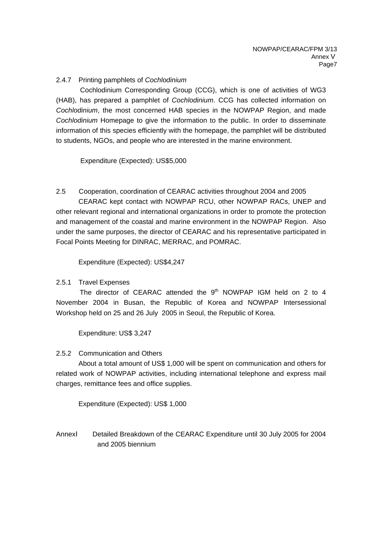### 2.4.7 Printing pamphlets of *Cochlodinium*

Cochlodinium Corresponding Group (CCG), which is one of activities of WG3 (HAB), has prepared a pamphlet of *Cochlodinium*. CCG has collected information on *Cochlodinium*, the most concerned HAB species in the NOWPAP Region, and made *Cochlodinium* Homepage to give the information to the public. In order to disseminate information of this species efficiently with the homepage, the pamphlet will be distributed to students, NGOs, and people who are interested in the marine environment.

Expenditure (Expected): US\$5,000

2.5 Cooperation, coordination of CEARAC activities throughout 2004 and 2005 CEARAC kept contact with NOWPAP RCU, other NOWPAP RACs, UNEP and other relevant regional and international organizations in order to promote the protection and management of the coastal and marine environment in the NOWPAP Region. Also under the same purposes, the director of CEARAC and his representative participated in Focal Points Meeting for DINRAC, MERRAC, and POMRAC.

Expenditure (Expected): US\$4,247

2.5.1 Travel Expenses

The director of CEARAC attended the  $9<sup>th</sup>$  NOWPAP IGM held on 2 to 4 November 2004 in Busan, the Republic of Korea and NOWPAP Intersessional Workshop held on 25 and 26 July 2005 in Seoul, the Republic of Korea.

Expenditure: US\$ 3,247

#### 2.5.2 Communication and Others

About a total amount of US\$ 1,000 will be spent on communication and others for related work of NOWPAP activities, including international telephone and express mail charges, remittance fees and office supplies.

Expenditure (Expected): US\$ 1,000

Annex Detailed Breakdown of the CEARAC Expenditure until 30 July 2005 for 2004 and 2005 biennium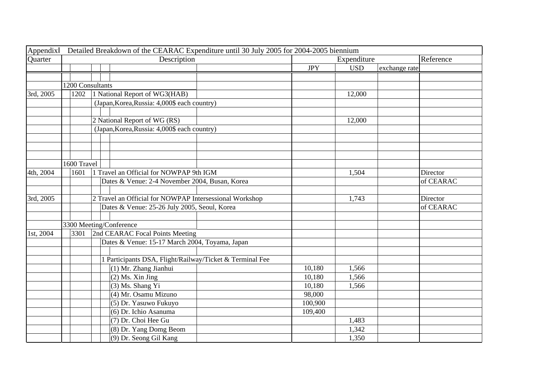| Appendix  |                  | Detailed Breakdown of the CEARAC Expenditure until 30 July 2005 for 2004-2005 biennium |            |             |               |           |
|-----------|------------------|----------------------------------------------------------------------------------------|------------|-------------|---------------|-----------|
| Quarter   |                  | Description                                                                            |            | Expenditure |               |           |
|           |                  |                                                                                        | <b>JPY</b> | <b>USD</b>  | exchange rate |           |
|           |                  |                                                                                        |            |             |               |           |
|           | 1200 Consultants |                                                                                        |            |             |               |           |
| 3rd, 2005 | 1202             | 1 National Report of WG3(HAB)                                                          |            | 12,000      |               |           |
|           |                  | (Japan, Korea, Russia: 4,000\$ each country)                                           |            |             |               |           |
|           |                  |                                                                                        |            |             |               |           |
|           |                  | 2 National Report of WG (RS)                                                           |            | 12,000      |               |           |
|           |                  | (Japan, Korea, Russia: 4,000\$ each country)                                           |            |             |               |           |
|           |                  |                                                                                        |            |             |               |           |
|           |                  |                                                                                        |            |             |               |           |
|           |                  |                                                                                        |            |             |               |           |
|           | 1600 Travel      |                                                                                        |            |             |               |           |
| 4th, 2004 | 1601             | 1 Travel an Official for NOWPAP 9th IGM                                                |            | 1,504       |               | Director  |
|           |                  | Dates & Venue: 2-4 November 2004, Busan, Korea                                         |            |             |               | of CEARAC |
|           |                  |                                                                                        |            |             |               |           |
| 3rd, 2005 |                  | 2 Travel an Official for NOWPAP Intersessional Workshop                                |            | 1,743       |               | Director  |
|           |                  | Dates & Venue: 25-26 July 2005, Seoul, Korea                                           |            |             |               | of CEARAC |
|           |                  | 3300 Meeting/Conference                                                                |            |             |               |           |
|           | 3301             |                                                                                        |            |             |               |           |
| 1st, 2004 |                  | 2nd CEARAC Focal Points Meeting<br>Dates & Venue: 15-17 March 2004, Toyama, Japan      |            |             |               |           |
|           |                  |                                                                                        |            |             |               |           |
|           |                  | 1 Participants DSA, Flight/Railway/Ticket & Terminal Fee                               |            |             |               |           |
|           |                  | (1) Mr. Zhang Jianhui                                                                  | 10,180     | 1,566       |               |           |
|           |                  | $(2)$ Ms. Xin Jing                                                                     | 10,180     | 1,566       |               |           |
|           |                  | (3) Ms. Shang Yi                                                                       | 10,180     | 1,566       |               |           |
|           |                  | (4) Mr. Osamu Mizuno                                                                   | 98,000     |             |               |           |
|           |                  | (5) Dr. Yasuwo Fukuyo                                                                  | 100,900    |             |               |           |
|           |                  | (6) Dr. Ichio Asanuma                                                                  | 109,400    |             |               |           |
|           |                  | (7) Dr. Choi Hee Gu                                                                    |            | 1,483       |               |           |
|           |                  | (8) Dr. Yang Domg Beom                                                                 |            | 1,342       |               |           |
|           |                  | (9) Dr. Seong Gil Kang                                                                 |            | 1,350       |               |           |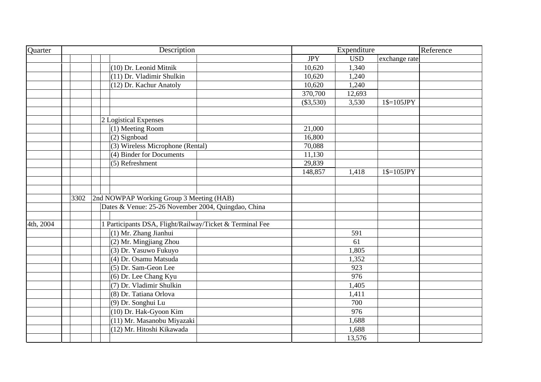| Quarter   | Description                                              |             | Expenditure |               | Reference |
|-----------|----------------------------------------------------------|-------------|-------------|---------------|-----------|
|           |                                                          | <b>JPY</b>  | <b>USD</b>  | exchange rate |           |
|           | (10) Dr. Leonid Mitnik                                   | 10,620      | 1,340       |               |           |
|           | (11) Dr. Vladimir Shulkin                                | 10,620      | 1,240       |               |           |
|           | (12) Dr. Kachur Anatoly                                  | 10,620      | 1,240       |               |           |
|           |                                                          | 370,700     | 12,693      |               |           |
|           |                                                          | $(\$3,530)$ | 3,530       | $1$=105JPY$   |           |
|           |                                                          |             |             |               |           |
|           | 2 Logistical Expenses                                    |             |             |               |           |
|           | (1) Meeting Room                                         | 21,000      |             |               |           |
|           | (2) Signboad                                             | 16,800      |             |               |           |
|           | (3) Wireless Microphone (Rental)                         | 70,088      |             |               |           |
|           | (4) Binder for Documents                                 | 11,130      |             |               |           |
|           | (5) Refreshment                                          | 29,839      |             |               |           |
|           |                                                          | 148,857     | 1,418       | $1$=105JPY$   |           |
|           |                                                          |             |             |               |           |
|           |                                                          |             |             |               |           |
|           | 2nd NOWPAP Working Group 3 Meeting (HAB)<br>3302         |             |             |               |           |
|           | Dates & Venue: 25-26 November 2004, Quingdao, China      |             |             |               |           |
|           |                                                          |             |             |               |           |
| 4th, 2004 | 1 Participants DSA, Flight/Railway/Ticket & Terminal Fee |             |             |               |           |
|           | (1) Mr. Zhang Jianhui                                    |             | 591         |               |           |
|           | (2) Mr. Mingjiang Zhou                                   |             | 61          |               |           |
|           | (3) Dr. Yasuwo Fukuyo                                    |             | 1,805       |               |           |
|           | (4) Dr. Osamu Matsuda                                    |             | 1,352       |               |           |
|           | (5) Dr. Sam-Geon Lee                                     |             | 923         |               |           |
|           | (6) Dr. Lee Chang Kyu                                    |             | 976         |               |           |
|           | (7) Dr. Vladimir Shulkin                                 |             | 1,405       |               |           |
|           | (8) Dr. Tatiana Orlova                                   |             | 1,411       |               |           |
|           | (9) Dr. Songhui Lu                                       |             | 700         |               |           |
|           | (10) Dr. Hak-Gyoon Kim                                   |             | 976         |               |           |
|           | (11) Mr. Masanobu Miyazaki                               |             | 1,688       |               |           |
|           | (12) Mr. Hitoshi Kikawada                                |             | 1,688       |               |           |
|           |                                                          |             | 13,576      |               |           |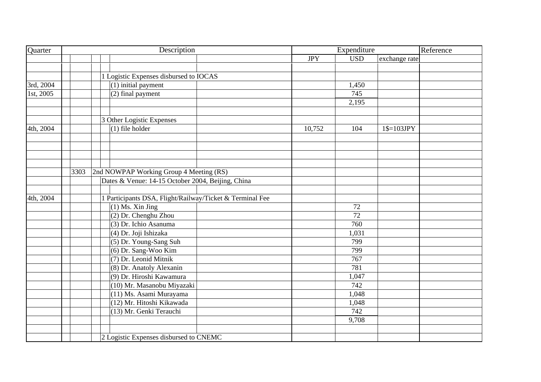| Quarter   | Description |                                                          |  | Expenditure |              |               | Reference |
|-----------|-------------|----------------------------------------------------------|--|-------------|--------------|---------------|-----------|
|           |             |                                                          |  | <b>JPY</b>  | <b>USD</b>   | exchange rate |           |
|           |             |                                                          |  |             |              |               |           |
|           |             | 1 Logistic Expenses disbursed to IOCAS                   |  |             |              |               |           |
| 3rd, 2004 |             | (1) initial payment                                      |  |             | 1,450        |               |           |
| 1st, 2005 |             | (2) final payment                                        |  |             | 745          |               |           |
|           |             |                                                          |  |             | 2,195        |               |           |
|           |             |                                                          |  |             |              |               |           |
|           |             | 3 Other Logistic Expenses                                |  |             |              |               |           |
| 4th, 2004 |             | $(1)$ file holder                                        |  | 10,752      | 104          | $1$=103JPY$   |           |
|           |             |                                                          |  |             |              |               |           |
|           |             |                                                          |  |             |              |               |           |
|           |             |                                                          |  |             |              |               |           |
|           |             |                                                          |  |             |              |               |           |
|           | 3303        | 2nd NOWPAP Working Group 4 Meeting (RS)                  |  |             |              |               |           |
|           |             | Dates & Venue: 14-15 October 2004, Beijing, China        |  |             |              |               |           |
|           |             |                                                          |  |             |              |               |           |
| 4th, 2004 |             | 1 Participants DSA, Flight/Railway/Ticket & Terminal Fee |  |             |              |               |           |
|           |             | $(1)$ Ms. Xin Jing                                       |  |             | 72           |               |           |
|           |             | (2) Dr. Chenghu Zhou                                     |  |             | 72           |               |           |
|           |             | (3) Dr. Ichio Asanuma                                    |  |             | 760          |               |           |
|           |             | (4) Dr. Joji Ishizaka                                    |  |             | 1,031        |               |           |
|           |             | (5) Dr. Young-Sang Suh                                   |  |             | 799          |               |           |
|           |             | (6) Dr. Sang-Woo Kim                                     |  |             | 799          |               |           |
|           |             | (7) Dr. Leonid Mitnik                                    |  |             | 767<br>781   |               |           |
|           |             | (8) Dr. Anatoly Alexanin                                 |  |             |              |               |           |
|           |             | (9) Dr. Hiroshi Kawamura                                 |  |             | 1,047<br>742 |               |           |
|           |             | (10) Mr. Masanobu Miyazaki                               |  |             |              |               |           |
|           |             | (11) Ms. Asami Murayama<br>(12) Mr. Hitoshi Kikawada     |  |             | 1,048        |               |           |
|           |             |                                                          |  |             | 1,048<br>742 |               |           |
|           |             | (13) Mr. Genki Terauchi                                  |  |             | 9,708        |               |           |
|           |             |                                                          |  |             |              |               |           |
|           |             | 2 Logistic Expenses disbursed to CNEMC                   |  |             |              |               |           |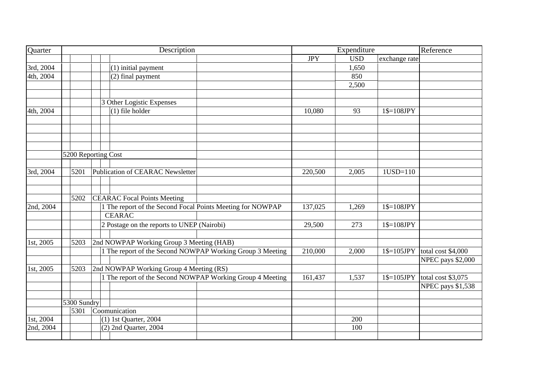| Quarter   |                     | Description                                                |            | Expenditure |               | Reference                               |
|-----------|---------------------|------------------------------------------------------------|------------|-------------|---------------|-----------------------------------------|
|           |                     |                                                            | <b>JPY</b> | <b>USD</b>  | exchange rate |                                         |
| 3rd, 2004 |                     | (1) initial payment                                        |            | 1,650       |               |                                         |
| 4th, 2004 |                     | (2) final payment                                          |            | 850         |               |                                         |
|           |                     |                                                            |            | 2,500       |               |                                         |
|           |                     |                                                            |            |             |               |                                         |
|           |                     | 3 Other Logistic Expenses                                  |            |             |               |                                         |
| 4th, 2004 |                     | $(1)$ file holder                                          | 10,080     | 93          | $1$=108JPY$   |                                         |
|           |                     |                                                            |            |             |               |                                         |
|           |                     |                                                            |            |             |               |                                         |
|           |                     |                                                            |            |             |               |                                         |
|           |                     |                                                            |            |             |               |                                         |
|           | 5200 Reporting Cost |                                                            |            |             |               |                                         |
|           |                     |                                                            |            |             |               |                                         |
| 3rd, 2004 | 5201                | Publication of CEARAC Newsletter                           | 220,500    | 2,005       | $1USD=110$    |                                         |
|           |                     |                                                            |            |             |               |                                         |
|           |                     |                                                            |            |             |               |                                         |
|           | 5202                | <b>CEARAC</b> Focal Points Meeting                         |            |             |               |                                         |
| 2nd, 2004 |                     | 1 The report of the Second Focal Points Meeting for NOWPAP | 137,025    | 1,269       | $1$=108JPY$   |                                         |
|           |                     | CEARAC                                                     |            |             |               |                                         |
|           |                     | 2 Postage on the reports to UNEP (Nairobi)                 | 29,500     | 273         | $1$=108JPY$   |                                         |
|           |                     |                                                            |            |             |               |                                         |
| 1st, 2005 | 5203                | 2nd NOWPAP Working Group 3 Meeting (HAB)                   |            |             |               |                                         |
|           |                     | 1 The report of the Second NOWPAP Working Group 3 Meeting  | 210,000    | 2,000       | $1$=105JPY$   | total cost \$4,000<br>NPEC pays \$2,000 |
| 1st, 2005 | 5203                | 2nd NOWPAP Working Group 4 Meeting (RS)                    |            |             |               |                                         |
|           |                     | 1 The report of the Second NOWPAP Working Group 4 Meeting  | 161,437    | 1,537       | $1$=105JPY$   | total cost \$3,075                      |
|           |                     |                                                            |            |             |               | NPEC pays \$1,538                       |
|           |                     |                                                            |            |             |               |                                         |
|           | 5300 Sundry         |                                                            |            |             |               |                                         |
|           | 5301                | Coomunication                                              |            |             |               |                                         |
| 1st, 2004 |                     | $(1)$ 1st Quarter, 2004                                    |            | 200         |               |                                         |
| 2nd, 2004 |                     | $(2)$ 2nd Quarter, 2004                                    |            | 100         |               |                                         |
|           |                     |                                                            |            |             |               |                                         |